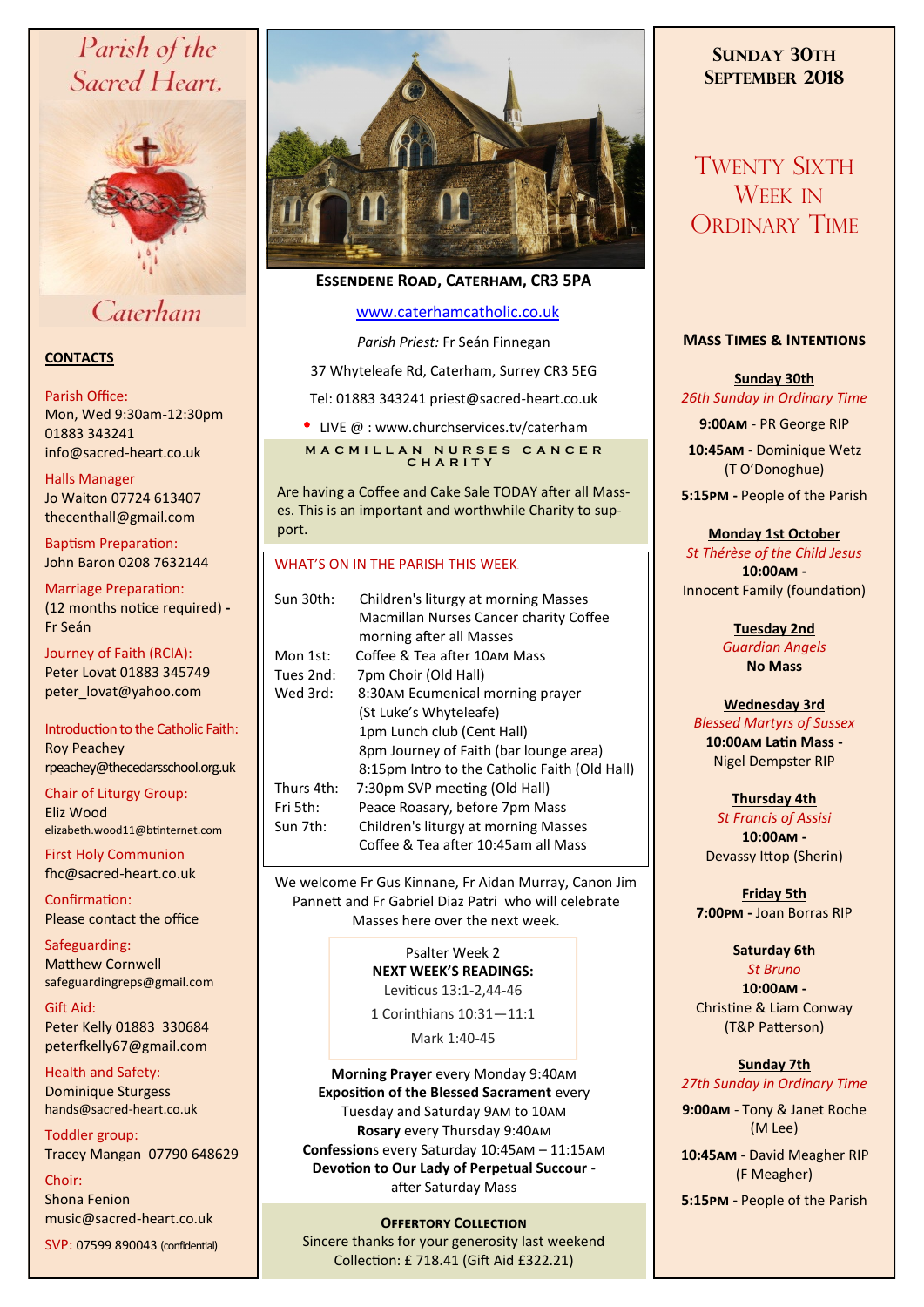# Parish of the Sacred Heart.



# Caterham

# **CONTACTS**

#### Parish Office:

Mon, Wed 9:30am-12:30pm 01883 343241 info@sacred-heart.co.uk .

#### Halls Manager Jo Waiton 07724 613407

thecenthall@gmail.com

Baptism Preparation: John Baron 0208 7632144

Marriage Preparation: (12 months notice required) **-** Fr Seán

Journey of Faith (RCIA): Peter Lovat 01883 345749 peter\_lovat@yahoo.com

## Introduction to the Catholic Faith: Roy Peachey rpeachey@thecedarsschool.org.uk

Chair of Liturgy Group: Eliz Wood elizabeth.wood11@btinternet.com

First Holy Communion fhc@sacred-heart.co.uk

Confirmation: Please contact the office

Safeguarding: Matthew Cornwell safeguardingreps@gmail.com

Gift Aid: Peter Kelly 01883 330684 peterfkelly67@gmail.com

Health and Safety: Dominique Sturgess hands@sacred-heart.co.uk

Toddler group:

Tracey Mangan 07790 648629

Choir: Shona Fenion music@sacred-heart.co.uk

SVP: 07599 890043 (confidential)



# **Essendene Road, Caterham, CR3 5PA**

# [www.caterhamcatholic.co.uk](http://Www.caterhamcatholic.co.uk)

*Parish Priest:* Fr Seán Finnegan

37 Whyteleafe Rd, Caterham, Surrey CR3 5EG

Tel: 01883 343241 priest@sacred-heart.co.uk

• LIVE @ : www.churchservices.tv/caterham **M A C M I L L A N N U R S E S C A N C E R C H A R I T Y**

Are having a Coffee and Cake Sale TODAY after all Masses. This is an important and worthwhile Charity to support.

## WHAT'S ON IN THE PARISH THIS WEEK.

| Sun 30th:  | Children's liturgy at morning Masses<br>Macmillan Nurses Cancer charity Coffee<br>morning after all Masses |
|------------|------------------------------------------------------------------------------------------------------------|
| Mon 1st:   | Coffee & Tea after 10AM Mass                                                                               |
| Tues 2nd:  | 7pm Choir (Old Hall)                                                                                       |
| Wed 3rd:   | 8:30AM Ecumenical morning prayer                                                                           |
|            | (St Luke's Whyteleafe)                                                                                     |
|            | 1pm Lunch club (Cent Hall)                                                                                 |
|            | 8pm Journey of Faith (bar lounge area)                                                                     |
|            | 8:15pm Intro to the Catholic Faith (Old Hall)                                                              |
| Thurs 4th: | 7:30pm SVP meeting (Old Hall)                                                                              |
| Fri 5th:   | Peace Roasary, before 7pm Mass                                                                             |
| Sun 7th:   | Children's liturgy at morning Masses                                                                       |
|            | Coffee & Tea after 10:45am all Mass                                                                        |
|            |                                                                                                            |

We welcome Fr Gus Kinnane, Fr Aidan Murray, Canon Jim Pannett and Fr Gabriel Diaz Patri who will celebrate Masses here over the next week.

# Psalter Week 2 **NEXT WEEK'S READINGS:**

Leviticus 13:1-2,44-46

1 Corinthians 10:31—11:1

Mark 1:40-45

**Morning Prayer** every Monday 9:40am **Exposition of the Blessed Sacrament** every Tuesday and Saturday 9am to 10am **Rosary** every Thursday 9:40am **Confession**s every Saturday 10:45am – 11:15am **Devotion to Our Lady of Perpetual Succour**  after Saturday Mass

# **OFFERTORY COLLECTION**

Sincere thanks for your generosity last weekend Collection: £ 718.41 (Gift Aid £322.21)

# **SUNDAY 30TH SEPTEMBER 2018**

# TWENTY SIXTH WEEK IN ORDINARY TIME

# **Mass Times & Intentions**

**Sunday 30th** *26th Sunday in Ordinary Time*

**9:00am** - PR George RIP .**10:45am** - Dominique Wetz (T O'Donoghue)

**5:15pm -** People of the Parish

## **Monday 1st October**

*St Thérèse of the Child Jesus* **10:00am -**  Innocent Family (foundation)

> **Tuesday 2nd**  *Guardian Angels* **No Mass**

# **Wednesday 3rd**

*Blessed Martyrs of Sussex* **10:00am Latin Mass -** Nigel Dempster RIP

**Thursday 4th**  *St Francis of Assisi* **10:00am -**  Devassy Ittop (Sherin)

**Friday 5th 7:00pm -** Joan Borras RIP

#### **Saturday 6th** *St Bruno*

**10:00am -**  Christine & Liam Conway (T&P Patterson)

## **Sunday 7th** *27th Sunday in Ordinary Time*

**9:00am** - Tony & Janet Roche (M Lee)

.**10:45am** - David Meagher RIP (F Meagher)

**5:15pm -** People of the Parish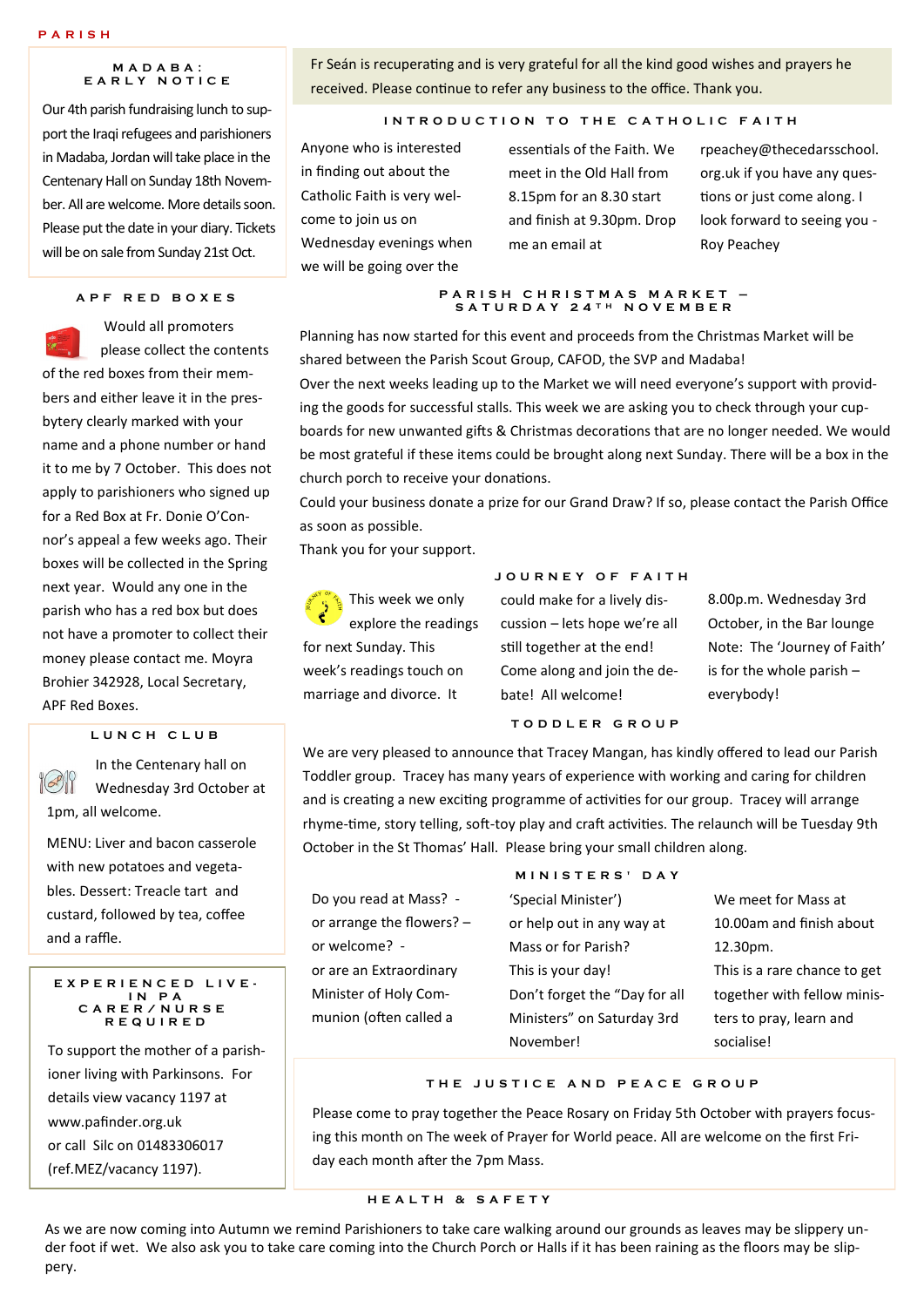#### **P A R I S H**

#### **M A D A B A : E A R L Y N O T I C E**

Our 4th parish fundraising lunch to support the Iraqi refugees and parishioners in Madaba, Jordan will take place in the Centenary Hall on Sunday 18th November. All are welcome. More details soon. Please put the date in your diary. Tickets will be on sale from Sunday 21st Oct.

## **A P F R E D B O X E S**

Would all promoters please collect the contents of the red boxes from their members and either leave it in the presbytery clearly marked with your name and a phone number or hand it to me by 7 October. This does not apply to parishioners who signed up for a Red Box at Fr. Donie O'Connor's appeal a few weeks ago. Their boxes will be collected in the Spring next year. Would any one in the parish who has a red box but does not have a promoter to collect their money please contact me. Moyra Brohier 342928, Local Secretary, APF Red Boxes.

#### **L U N C H C L U B**

In the Centenary hall on  $(\odot)$ Wednesday 3rd October at 1pm, all welcome.

MENU: Liver and bacon casserole with new potatoes and vegetables. Dessert: Treacle tart and custard, followed by tea, coffee and a raffle.

#### **E X P E R I E N C E D L I V E - I N P A C A R E R / N U R S E R E Q U I R E D**

To support the mother of a parishioner living with Parkinsons. For details view vacancy 1197 at www.pafinder.org.uk or call Silc on 01483306017 (ref.MEZ/vacancy 1197).

Fr Seán is recuperating and is very grateful for all the kind good wishes and prayers he received. Please continue to refer any business to the office. Thank you.

#### **INTRODUCTION TO THE CATHOLIC FAITH**

Anyone who is interested in finding out about the Catholic Faith is very welcome to join us on Wednesday evenings when we will be going over the

essentials of the Faith. We meet in the Old Hall from 8.15pm for an 8.30 start and finish at 9.30pm. Drop me an email at

rpeachey@thecedarsschool. org.uk if you have any questions or just come along. I look forward to seeing you - Roy Peachey

#### **P A R I S H C H R I S T M A S M A R K E T – S A T U R D A Y 2 4 T H N O V E M B E R**

Planning has now started for this event and proceeds from the Christmas Market will be shared between the Parish Scout Group, CAFOD, the SVP and Madaba! Over the next weeks leading up to the Market we will need everyone's support with providing the goods for successful stalls. This week we are asking you to check through your cupboards for new unwanted gifts & Christmas decorations that are no longer needed. We would be most grateful if these items could be brought along next Sunday. There will be a box in the church porch to receive your donations.

Could your business donate a prize for our Grand Draw? If so, please contact the Parish Office as soon as possible.

Thank you for your support.

**R** This week we only explore the readings for next Sunday. This week's readings touch on marriage and divorce. It

could make for a lively discussion – lets hope we're all still together at the end! Come along and join the debate! All welcome!

**J O U R N E Y O F F A I T H**

8.00p.m. Wednesday 3rd October, in the Bar lounge Note: The 'Journey of Faith' is for the whole parish – everybody!

We are very pleased to announce that Tracey Mangan, has kindly offered to lead our Parish Toddler group. Tracey has many years of experience with working and caring for children and is creating a new exciting programme of activities for our group. Tracey will arrange rhyme-time, story telling, soft-toy play and craft activities. The relaunch will be Tuesday 9th October in the St Thomas' Hall. Please bring your small children along.

**T O D D L E R G R O U P**

Do you read at Mass? or arrange the flowers? – or welcome? or are an Extraordinary Minister of Holy Communion (often called a

# **M I N I S T E R S ' D A Y**

'Special Minister') or help out in any way at Mass or for Parish? This is your day! Don't forget the "Day for all Ministers" on Saturday 3rd November!

We meet for Mass at 10.00am and finish about 12.30pm. This is a rare chance to get together with fellow ministers to pray, learn and socialise!

## **T H E J U S T I C E A N D P E A C E G R O U P**

Please come to pray together the Peace Rosary on Friday 5th October with prayers focusing this month on The week of Prayer for World peace. All are welcome on the first Friday each month after the 7pm Mass.

## **H E A L T H & S A F E T Y**

As we are now coming into Autumn we remind Parishioners to take care walking around our grounds as leaves may be slippery under foot if wet. We also ask you to take care coming into the Church Porch or Halls if it has been raining as the floors may be slippery.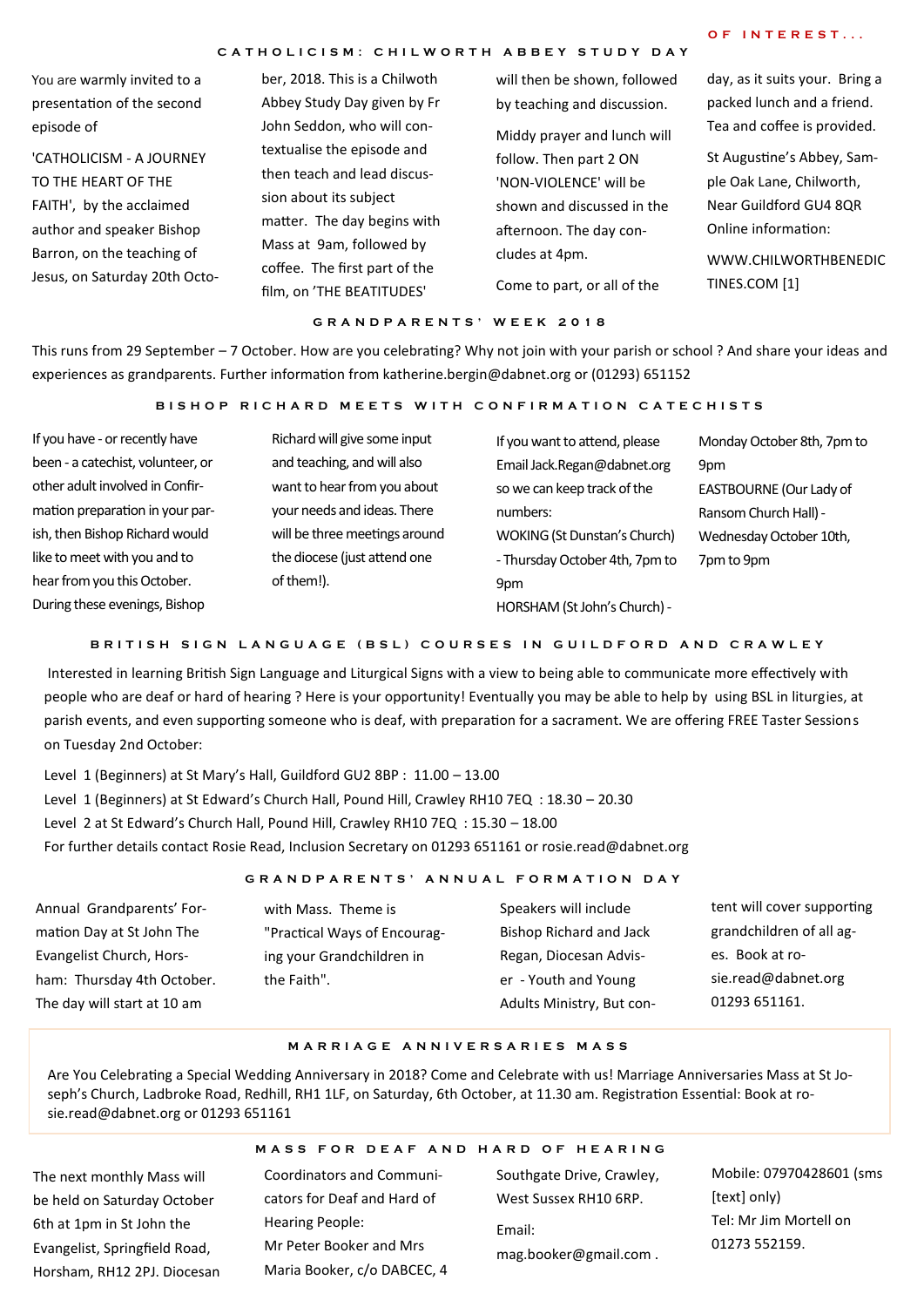#### **C A T H O L I C I S M : C H I L W O R T H A B B E Y S T U D Y D A Y**

## **O F I N T E R E S T . . .**

You are warmly invited to a presentation of the second episode of

'CATHOLICISM - A JOURNEY TO THE HEART OF THE FAITH', by the acclaimed author and speaker Bishop Barron, on the teaching of Jesus, on Saturday 20th Octo-

ber, 2018. This is a Chilwoth Abbey Study Day given by Fr John Seddon, who will contextualise the episode and then teach and lead discussion about its subject matter. The day begins with Mass at 9am, followed by coffee. The first part of the film, on 'THE BEATITUDES'

will then be shown, followed by teaching and discussion. Middy prayer and lunch will follow. Then part 2 ON 'NON-VIOLENCE' will be shown and discussed in the afternoon. The day concludes at 4pm. Come to part, or all of the

day, as it suits your. Bring a packed lunch and a friend. Tea and coffee is provided.

St Augustine's Abbey, Sample Oak Lane, Chilworth, Near Guildford GU4 8QR Online information:

WWW.CHILWORTHBENEDIC TINES.COM [1]

#### **G R A N D P A R E N T S ' W E E K 2 0 1 8**

This runs from 29 September – 7 October. How are you celebrating? Why not join with your parish or school ? And share your ideas and experiences as grandparents. Further information from katherine.bergin@dabnet.org or (01293) 651152

#### **BISHOP RICHARD MEETS WITH CONFIRMATION CATECHISTS**

If you have - or recently have been - a catechist, volunteer, or other adult involved in Confirmation preparation in your parish, then Bishop Richard would like to meet with you and to hear from you this October. During these evenings, Bishop

Richard will give some input and teaching, and will also want to hear from you about your needs and ideas. There will be three meetings around the diocese (just attend one of them!).

| If you want to attend, please       | Monday October 8th, 7pm to |
|-------------------------------------|----------------------------|
| Email Jack.Regan@dabnet.org         | 9pm                        |
| so we can keep track of the         | EASTBOURNE (Our Lady of    |
| numbers:                            | Ransom Church Hall) -      |
| <b>WOKING (St Dunstan's Church)</b> | Wednesday October 10th,    |
| - Thursday October 4th, 7pm to      | 7pm to 9pm                 |
| 9pm                                 |                            |
| HORSHAM (St John's Church) -        |                            |

#### **B R I T I S H S I G N L A N G U A G E ( B S L ) C O U R S E S I N G U I L D F O R D A N D C R A W L E Y**

Interested in learning British Sign Language and Liturgical Signs with a view to being able to communicate more effectively with people who are deaf or hard of hearing ? Here is your opportunity! Eventually you may be able to help by using BSL in liturgies, at parish events, and even supporting someone who is deaf, with preparation for a sacrament. We are offering FREE Taster Sessions on Tuesday 2nd October:

Level 1 (Beginners) at St Mary's Hall, Guildford GU2 8BP : 11.00 – 13.00 Level 1 (Beginners) at St Edward's Church Hall, Pound Hill, Crawley RH10 7EQ : 18.30 – 20.30 Level 2 at St Edward's Church Hall, Pound Hill, Crawley RH10 7EQ : 15.30 – 18.00 For further details contact Rosie Read, Inclusion Secretary on 01293 651161 or rosie.read@dabnet.org

#### **G R A N D P A R E N T S ' A N N U A L F O R M A T I O N D A Y**

Annual Grandparents' Formation Day at St John The Evangelist Church, Horsham: Thursday 4th October. The day will start at 10 am

with Mass. Theme is "Practical Ways of Encouraging your Grandchildren in the Faith".

Speakers will include Bishop Richard and Jack Regan, Diocesan Adviser - Youth and Young Adults Ministry, But content will cover supporting grandchildren of all ages. Book at rosie.read@dabnet.org 01293 651161.

#### **M A R R I A G E A N N I V E R S A R I E S M A S S**

Are You Celebrating a Special Wedding Anniversary in 2018? Come and Celebrate with us! Marriage Anniversaries Mass at St Joseph's Church, Ladbroke Road, Redhill, RH1 1LF, on Saturday, 6th October, at 11.30 am. Registration Essential: Book at rosie.read@dabnet.org or 01293 651161

The next monthly Mass will be held on Saturday October 6th at 1pm in St John the Evangelist, Springfield Road, Horsham, RH12 2PJ. Diocesan

## **M A S S F O R D E A F A N D H A R D O F H E A R I N G**

Coordinators and Communicators for Deaf and Hard of Hearing People: Mr Peter Booker and Mrs Maria Booker, c/o DABCEC, 4 Southgate Drive, Crawley, West Sussex RH10 6RP. Email: mag.booker@gmail.com .

Mobile: 07970428601 (sms [text] only) Tel: Mr Jim Mortell on 01273 552159.